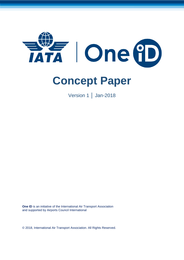

# **Concept Paper**

Version 1 │ Jan-2018

**One ID** is an initiative of the International Air Transport Association and supported by Airports Council International

© 2018, International Air Transport Association. All Rights Reserved.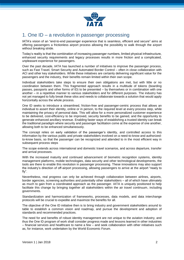

## 1. One ID – a revolution in passenger processing

IATA's vision of an "end-to-end passenger experience that is seamless, efficient and secure" aims at offering passengers a frictionless airport process allowing the possibility to walk through the airport without breaking stride.

Today's reality is that the combination of increasing passenger numbers, limited physical infrastructure, enhanced security requirements and legacy processes results in more friction and a complicated, unpleasant experience for passengers.

Over the past decade, IATA has launched a number of initiatives to improve the passenger process, such as Fast Travel, Smart Security and Automated Border Control – often in close collaboration with ACI and other key stakeholders. While these initiatives are certainly delivering significant value for the passengers and the industry, their benefits remain limited within their own scope.

Individual stakeholders take steps to ensure their own obligations are met, but with little or no coordination between them. This fragmented approach results in a multitude of tokens (boarding passes, passports and other forms of ID) to be presented – by themselves or in combination with one another – in a repetitive manner to various stakeholders and for different purposes. The industry has not yet managed to fully break these silos and needs to collaborate towards a solution that would apply horizontally across the whole process.

One ID seeks to introduce a streamlined, friction-free and passenger-centric process that allows an individual to assert their identity, online or in person, to the required level at every process step, while maintaining the privacy of personal data. This will allow for a more personalized customer experience to be delivered, cost-efficiency to be improved, security benefits to be gained, and the opportunity to generate enhanced ancillary revenue. Enabling faster ways of establishing a trusted identity can break the traditional paradigm where security and passenger facilitation come at the expense of one another, allowing both to be enhanced simultaneously.

The concept relies on early validation of the passenger's identity, and controlled access to this information by the various public and private stakeholders involved on a need-to-know and authorizedto-know basis, so that the passenger can be recognized and attended to in the most efficient way in subsequent process steps

The scope extends across international and domestic travel scenarios, and across departure, transfer and arrival processes.

With the increased maturity and continued advancement of biometric recognition systems, identity management platforms, mobile technologies, data security and other technological developments, the tools are there to enable this revolution in passenger processing. These innovations may also support the industry's direction of off-airport processing, allowing passengers to arrive at the airport "ready to fly".

Nevertheless, real progress can only be achieved through collaboration between airlines, airports, border agencies, screening authorities and potentially other stakeholders – all of which have ultimately as much to gain from a coordinated approach as the passenger. IATA is uniquely positioned to help facilitate this change by bringing together all stakeholders within the air travel continuum, including governments.

Standardization and harmonization of frameworks, processes, data models, and data interchange protocols will be crucial to expedite and maximize the benefits for all.

The objective of the One ID initiative then is to bring industry and government stakeholders around to table to establish a common vision and roadmap, and pursue the development and adoption of standards and recommended practices.

The need for and benefits of robust identity management are not unique to the aviation industry, and thus the One ID program of work shall consider progress made and lessons learned in other industries – financial services and healthcare to name a few – and seek collaboration with other initiatives such as, for instance, work undertaken by the World Economic Forum.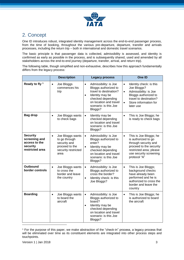

# 2. Concept

One ID introduces robust, integrated identity management across the end-to-end passenger process, from the time of booking, throughout the various pre-departure, departure, transfer and arrivals processes, including the return trip – both in international and domestic travel scenarios.

The basic principle is that passenger data is collected, admissibility is assessed, and identity is confirmed as early as possible in the process, and is subsequently shared, used and amended by all stakeholders across the end-to-end journey (departure, transfer, arrival, and return trip).

The following table, though simplified and non-exhaustive, describes how this approach fundamentally differs from the legacy process:

|                                                                                  | <b>Description</b>                                                                                              | <b>Legacy process</b>                                                                                                                                                                                   | One ID                                                                                                                                                                                         |
|----------------------------------------------------------------------------------|-----------------------------------------------------------------------------------------------------------------|---------------------------------------------------------------------------------------------------------------------------------------------------------------------------------------------------------|------------------------------------------------------------------------------------------------------------------------------------------------------------------------------------------------|
| Ready to fly <sup>1</sup>                                                        | Joe Bloggs<br>$\bullet$<br>commences his<br>trip                                                                | Admissibility: is Joe<br>$\bullet$<br>Bloggs authorized to<br>travel to destination?<br>Identity may be<br>$\bullet$<br>checked depending<br>on location and travel<br>scenario: is this Joe<br>Bloggs? | Identity check: is this<br>$\bullet$<br>Joe Bloggs?<br>Admissibility: is Joe<br>$\bullet$<br>Bloggs authorized to<br>travel to destination?<br>Store information for<br>$\bullet$<br>later use |
| <b>Bag drop</b>                                                                  | Joe Bloggs wants<br>$\bullet$<br>to check bags                                                                  | Identity may be<br>$\bullet$<br>checked depending<br>on location and travel<br>scenario: is this Joe<br>Bloggs?                                                                                         | This is Joe Bloggs; he<br>$\bullet$<br>is ready to check bags                                                                                                                                  |
| <b>Security</b><br>screening and<br>access to the<br>security<br>restricted area | Joe Bloggs wants<br>$\bullet$<br>to go through<br>security and<br>proceed to the<br>security restricted<br>area | Admissibility: is Joe<br>$\bullet$<br>Bloggs authorized to<br>enter?<br>Identity may be<br>$\bullet$<br>checked depending<br>on location and travel<br>scenario: is this Joe<br>Bloggs?                 | This is Joe Bloggs; he<br>$\bullet$<br>is authorized to go<br>through security and<br>proceed to the security<br>restricted area; please<br>use security screening<br>protocol "A"             |
| <b>Outbound</b><br>border controls                                               | Joe Bloggs wants<br>$\bullet$<br>to cross the<br>border and leave<br>the country                                | $\bullet$<br>Admissibility: is Joe<br>Bloggs authorized to<br>cross the border?<br>Identity check: is this<br>$\bullet$<br>Joe Bloggs?                                                                  | This is Joe Bloggs;<br>$\bullet$<br>background checks<br>have already been<br>performed and he is<br>authorized to cross the<br>border and leave the<br>country                                |
| <b>Boarding</b>                                                                  | Joe Bloggs wants<br>$\bullet$<br>to board the<br>aircraft                                                       | Admissibility: is Joe<br>$\bullet$<br>Bloggs authorized to<br>board?<br>Identity may be<br>$\bullet$<br>checked depending<br>on location and travel<br>scenario: is this Joe<br>Bloggs?                 | $\bullet$<br>This is Joe Bloggs; he<br>is authorized to board<br>the aircraft                                                                                                                  |

<sup>1</sup> For the purpose of this paper, we make abstraction of the "check-in" process, a legacy process that will be eliminated over time as its constituent elements are integrated into other process steps and touchpoints.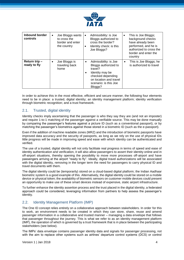

| <b>Inbound border</b><br>controls | Joe Bloggs wants<br>$\bullet$<br>to cross the<br>border and enter<br>the country | Admissibility: is Joe<br>$\bullet$<br>Bloggs authorized to<br>cross the border?<br>Identity check: is this<br>$\bullet$<br>Joe Bloggs?                                                   | This is Joe Bloggs;<br>٠<br>background checks<br>have already been<br>performed, and he is<br>authorized to cross the<br>border and enter the<br>country |
|-----------------------------------|----------------------------------------------------------------------------------|------------------------------------------------------------------------------------------------------------------------------------------------------------------------------------------|----------------------------------------------------------------------------------------------------------------------------------------------------------|
| Return trip-<br>ready to fly      | Joe Bloggs is<br>$\bullet$<br>traveling back<br>home                             | Admissibility: is Joe<br>$\bullet$<br>Bloggs authorized to<br>travel?<br>Identity may be<br>$\bullet$<br>checked depending<br>on location and travel<br>scenario: is this Joe<br>Bloggs? | This is Joe Bloggs; he<br>$\bullet$<br>is authorized to travel                                                                                           |

In order to achieve this in the most effective, efficient and secure manner, the following four elements need to be in place: a trusted, digital identity; an identity management platform; identity verification through biometric recognition; and a trust framework.

## 2.1. Trusted, digital identity

Identity checks imply ascertaining that the passenger is who they say they are (and not an imposter) and require 1-to-1 matching of the passenger against a verifiable source. This may be done manually by comparing the passenger's features against a picture ID (such as a conventional passport), or by matching the passenger's biometrics against those stored in a biometric ID (such as the e-passport).

Even if the addition of machine readable zones (MRZ) and the introduction of biometric passports have improved data accuracy and the security of passports, as long as we rely on the use of physical IDs little progress will be made in improving speed and ease with which identity can be authenticated and verified.

The use of a trusted, digital identity will not only facilitate real progress in terms of speed and ease of identity authentication and verification, it will also allow passengers to assert their identity online and in off-airport situations, thereby opening the possibility to move more processes off-airport and have passengers arriving at the airport "ready to fly". Ideally, digital travel authorizations will be associated with the digital identity, removing in the longer term the need for passengers to carry physical ID and travel documents with them.

The digital identity could be (temporarily) stored on a cloud-based digital platform; the Indian Aadhaar biometric system is a good example of this. Alternatively, the digital identity could be stored on a mobile device or physical token; the availability of biometric sensors on customer mobile devices could present an opportunity to make use of these smart devices instead of expensive, static airport infrastructure.

To further enhance the identity assertion process and the trust placed in the digital identity, a federated approach could be considered, leveraging information from partners to help assess the passenger's identity.

## 2.2. Identity Management Platform (IMP)

The One ID concept relies entirely on a collaborative approach between stakeholders. In order for this to work, an environment needs to be created in which they can store, share, reuse and amend passenger information in a collaborative and trusted manner – managing a data envelope that follows that passenger throughout the journey. This is what we refer to as an identity management platform (IMP), the operation of which is governed by a trust framework that is in place between the participating stakeholders (see below).

The IMPs' data envelope contains passenger identity data and signals for passenger processing, not with the aim to replace other systems such as airlines' departure control systems (DCS) or control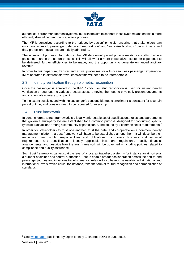

authorities' border management systems, but with the aim to connect these systems and enable a more efficient, streamlined and non-repetitive process.

The IMP is conceived according to the "privacy by design" principle, ensuring that stakeholders can only have access to passenger data on a "need-to-know" and "authorized-to-know" basis. Privacy and data protection regulations are strictly adhered to.

The inclusion of process information in the IMP data envelope will provide real-time visibility of where passengers are in the airport process. This will allow for a more personalized customer experience to be delivered, further efficiencies to be made, and the opportunity to generate enhanced ancillary revenue.

In order to link departure, transfer and arrival processes for a truly seamless passenger experience, IMPs operated in different air travel ecosystems will need to be interoperable.

#### 2.3. Identity verification through biometric recognition

Once the passenger is enrolled in the IMP, 1-to-N biometric recognition is used for instant identity verification throughout the various process steps, removing the need to physically present documents and credentials at every touchpoint.

To the extent possible, and with the passenger's consent, biometric enrollment is persistent for a certain period of time, and does not need to be repeated for every trip.

#### 2.4. Trust framework

In generic terms, a trust framework is a legally enforceable set of specifications, rules, and agreements that govern a multi-party system established for a common purpose, designed for conducting specific types of transactions among a community of participants, and bound by a common set of requirements.<sup>2</sup>

In order for stakeholders to trust one another, trust the data, and co-operate on a common identity management platform, a trust framework will have to be established among them. It will describe their respective roles, rights, responsibilities and obligations, incorporate business and technical requirements and specifications, identify applicable laws and regulations, specify financial arrangements, and describe how the trust framework will be governed – including policies related to compliance and quality assurance.

Such trust frameworks can exist at the level of a local air travel ecosystem – for instance an airport plus a number of airlines and control authorities – but to enable broader collaboration across the end-to-end passenger journey and in various travel scenarios, rules will also have to be established at national and international levels; which could, for instance, take the form of mutual recognition and harmonization of standards.

1

<sup>&</sup>lt;sup>2</sup> See [white paper](http://www.openidentityexchange.org/wp-content/uploads/2017/06/OIX-White-Paper_Trust-Frameworks-for-Identity-Systems_Final.pdf) published by Open Identity Exchange (OIX) in June 2017.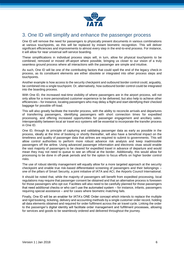

# 3. One ID will simplify and enhance the passenger process

One ID will remove the need for passengers to physically present documents in various combinations at various touchpoints, as this will be replaced by instant biometric recognition. This will deliver significant efficiencies and improvements to almost every step in the end-to-end process. For instance, it will allow for near universal self-service boarding.

These simplifications in individual process steps will, in turn, allow for physical touchpoints to be combined, removed or moved off-airport where possible, bringing us closer to our vision of a truly seamless ground process where all interactions with the passenger are simple and intuitive.

As such, One ID will be one of the contributing factors that could spell the end of the legacy check-in process, as its constituent elements are either obsolete or integrated into other process steps and touchpoints.

Another example is how access to the security checkpoint and outbound border control could, arguably, be combined into a single touchpoint. Or, alternatively, how outbound border control could be integrated into the boarding process.

With One ID, the increased real-time visibility of where passengers are in the airport process, will not only allow for a more personalized customer experience to be delivered, but also help to achieve other efficiencies – for instance, locating passengers who may delay a flight and start identifying their checked baggage for possible off-load.

This will also greatly facilitate the transfer process, with the ability to reconcile arrivals and departures of transferring passengers, identifying passengers with short connection times for expedited processing, and offering increased opportunities for passenger engagement and ancillary sales. Interoperability between local air travel eco systems will be essential to incorporate the transfer process in One ID.

One ID, through its principle of capturing and validating passenger data as early as possible in the process, ideally at the time of booking or shortly thereafter, will also have a beneficial impact on the timeliness and quality of passenger data that airlines are required to submit to governments. This will allow control authorities to perform more robust advance risk analysis and keep inadmissible passengers off the airline. Using advanced passenger information and electronic visas would enable the vast majority of passengers to be cleared for expedited travel in advance of departure and would mean they may not need to queue to see an official at the border. Additionally, this would allow for processing to be done in off-peak periods and for the option to focus efforts on higher border control risks.

The use of robust identity management will equally allow for a more targeted approach at the security checkpoint and enable true risk-based differentiated screening of passengers and their belongings – one of the pillars of Smart Security, a joint initiative of IATA and ACI, the Airports Council International.

It should be noted that, while the majority of passengers will benefit from expedited processing, local regulations may require that passenger consent be obtained and that an alternative process is foreseen for those passengers who opt out. Facilities will also need to be carefully planned for those passengers that need additional checks or who can't use the automated system – for instance, infants, passengers requiring special assistance – and for cases where biometric matching fails.

Finally, One ID will be an enabler for IATA's ONE Order concept which intends to replace the multiple and rigid booking, ticketing, delivery and accounting methods by a single customer order record, holding all data elements obtained and required for order fulfilment across the air travel cycle. Linking the order to the passenger's digital identity will facilitate order management and fulfillment processes, allowing for services and goods to be seamlessly ordered and delivered throughout the journey.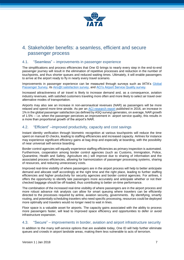

# 4. Stakeholder benefits: a seamless, efficient and secure passenger process

## 4.1. "Seamless" – improvements in passenger experience

The simplifications and process efficiencies that One ID brings to nearly every step in the end-to-end passenger journey will result in the elimination of repetitive processes and reduction in the number of touchpoints, and thus shorter queues and reduced waiting times. Ultimately, it will enable passengers to arrive at the airport ready to fly in nearly every travel scenario.

Improvements in passenger experience can be measured through surveys such as IATA's [Global](http://www.iata.org/publications/store/Pages/global-passenger-survey.aspx)  [Passenger Survey,](http://www.iata.org/publications/store/Pages/global-passenger-survey.aspx) its [Airs@t satisfaction survey,](http://www.iata.org/services/statistics/intelligence/Pages/passenger-satisfaction-survey.aspx) and [ACI's Airport Service Quality survey.](http://www.aci.aero/Customer-Experience-ASQ/Homepage)

Increased attractiveness of air travel is likely to increase demand and, as a consequence, aviation industry revenues, with satisfied customers traveling more often and more likely to select air travel over alternative modes of transportation.

Airports may also see an increase in non-aeronautical revenues (NAR) as passengers will be more relaxed and spend more time airside. As per an ACI [research report](http://www.aci.aero/Publications/New-Releases/Does-passenger-satisfaction-increase-airport-nonaeronautical-revenue-A-comprehensive-assessment-research-report) published in 2016, an increase in 1% in the global passenger satisfaction (as defined by ASQ survey) generates, on average, NAR growth of 1.5% -- i.e. when the passenger perceives an improvement in airport service quality, this results in a more than proportional growth of the airport's NAR.

## 4.2. "Efficient" –improved productivity, capacity and cost savings

Instant identity verification through biometric recognition at various touchpoints will reduce the time spent on manual ID checks, leading to staffing efficiencies and increased capacity. Airlines for instance may experience significant efficiency gains at bag drop and especially at boarding, with the possibility of near universal self-service boarding.

Border control agencies will equally experience staffing efficiencies as primary inspection is automated. Furthermore, cooperation among border control agencies (such as Customs, Immigration, Police, Quarantine, Health and Safety, Agriculture etc.) will improve due to sharing of information and the associated process efficiencies, allowing for harmonization of passenger processing systems, sharing of resources, and reducing unnecessary costs.

Improved real-time visibility of where passengers are in the airport process will help to better anticipate demand and allocate staff accordingly at the right time and the right place, leading to further staffing efficiencies and higher productivity for security agencies and border control agencies. For airlines, it offers the opportunity to identify late passengers more accurately and anticipate whether or not their checked baggage should be off-loaded, thus contributing to better on-time performance.

The combination of the increased real-time visibility of where passengers are in the airport process and more robust advance risk analysis can allow for smart queuing where travelers can be efficiently directed to the processes required by airline, aviation security, governments. By identifying, smartly routing, and potentially scheduling travelers who need specific processing, resources could be deployed more optimally and travelers would no longer need to wait in lines.

Floor space is a valuable asset for airports. The capacity gains associated with the ability to process more passengers faster, will lead to improved space efficiency and opportunities to defer or avoid infrastructure expansion.

#### 4.3. "Secure" – improvements in border, aviation and airport infrastructure security

In addition to the many self-service options that are available today, One ID will help further eliminate queues and crowds in airport landside areas, making them less vulnerable to acts of terrorism.